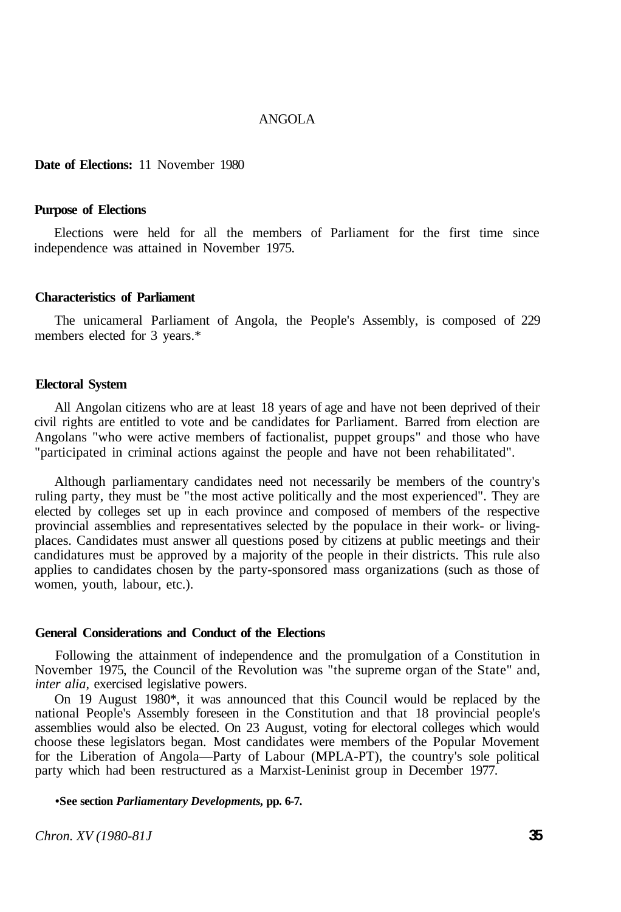### ANGOLA

## **Date of Elections:** 11 November 1980

#### **Purpose of Elections**

Elections were held for all the members of Parliament for the first time since independence was attained in November 1975.

### **Characteristics of Parliament**

The unicameral Parliament of Angola, the People's Assembly, is composed of 229 members elected for 3 years.\*

## **Electoral System**

All Angolan citizens who are at least 18 years of age and have not been deprived of their civil rights are entitled to vote and be candidates for Parliament. Barred from election are Angolans "who were active members of factionalist, puppet groups" and those who have "participated in criminal actions against the people and have not been rehabilitated".

Although parliamentary candidates need not necessarily be members of the country's ruling party, they must be "the most active politically and the most experienced". They are elected by colleges set up in each province and composed of members of the respective provincial assemblies and representatives selected by the populace in their work- or livingplaces. Candidates must answer all questions posed by citizens at public meetings and their candidatures must be approved by a majority of the people in their districts. This rule also applies to candidates chosen by the party-sponsored mass organizations (such as those of women, youth, labour, etc.).

#### **General Considerations and Conduct of the Elections**

Following the attainment of independence and the promulgation of a Constitution in November 1975, the Council of the Revolution was "the supreme organ of the State" and, *inter alia,* exercised legislative powers.

On 19 August 1980\*, it was announced that this Council would be replaced by the national People's Assembly foreseen in the Constitution and that 18 provincial people's assemblies would also be elected. On 23 August, voting for electoral colleges which would choose these legislators began. Most candidates were members of the Popular Movement for the Liberation of Angola—Party of Labour (MPLA-PT), the country's sole political party which had been restructured as a Marxist-Leninist group in December 1977.

**•See section** *Parliamentary Developments,* **pp. 6-7.** 

*Chron. XV (1980-81J* **35**